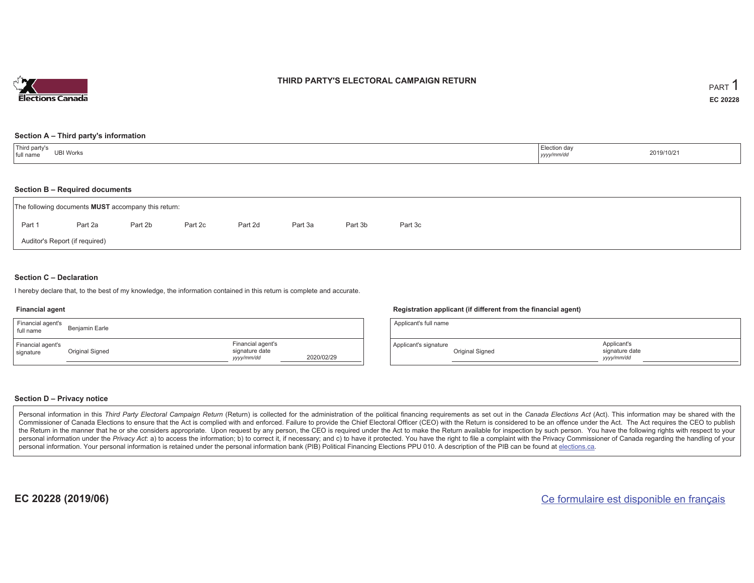

## **THIRD PARTY'S ELECTORAL CAMPAIGN RETURN**

#### **Section A – Third party's information**

| Third party's<br>full name | Election day |            |
|----------------------------|--------------|------------|
| <b>UBI Works</b>           | yyyy/mm/dd   | 2019/10/21 |

### **Section B – Required documents**

|                                | The following documents <b>MUST</b> accompany this return: |         |         |         |         |         |         |
|--------------------------------|------------------------------------------------------------|---------|---------|---------|---------|---------|---------|
| Part 1                         | Part 2a                                                    | Part 2b | Part 2c | Part 2d | Part 3a | Part 3b | Part 3c |
| Auditor's Report (if required) |                                                            |         |         |         |         |         |         |

### **Section C – Declaration**

I hereby declare that, to the best of my knowledge, the information contained in this return is complete and accurate.

#### **Financial agent**

| Financial agent's<br>full name | Benjamin Earle  |                                                   |            |
|--------------------------------|-----------------|---------------------------------------------------|------------|
| Financial agent's<br>signature | Original Signed | Financial agent's<br>signature date<br>yyyy/mm/dd | 2020/02/29 |

### **Registration applicant (if different from the financial agent)**

| Applicant's full name |                 |                                             |
|-----------------------|-----------------|---------------------------------------------|
| Applicant's signature | Original Signed | Applicant's<br>signature date<br>yyyy/mm/dd |

### **Section D – Privacy notice**

Personal information in this Third Party Electoral Campaign Return (Return) is collected for the administration of the political financing requirements as set out in the Canada Elections Act (Act). This information may be Commissioner of Canada Elections to ensure that the Act is complied with and enforced. Failure to provide the Chief Electoral Officer (CEO) with the Return is considered to be an offence under the Act. The Act requires the the Return in the manner that he or she considers appropriate. Upon request by any person, the CEO is required under the Act to make the Return available for inspection by such person. You have the following rights with re personal information under the Privacy Act: a) to access the information; b) to correct it, if necessary; and c) to have it protected. You have the right to file a complaint with the Privacy Commissioner of Canada regardin personal information. Your personal information is retained under the personal information bank (PIB) Political Financing Elections PPU 010. A description of the PIB can be found at elections.ca.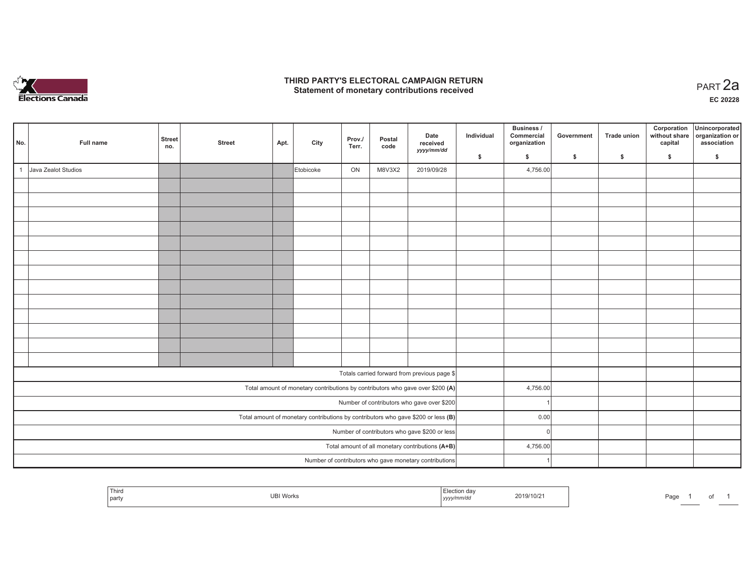

## **THIRD PARTY'S ELECTORAL CAMPAIGN RETURN HIRD PARTY'S ELECTORAL CAMPAIGN RETURN<br>Statement of monetary contributions received PART 2a**

**EC 20228**

| No.          | Full name           | <b>Street</b><br>no. | <b>Street</b> | Apt. | City      | Prov./<br>Terr. | Postal<br>code | Date<br>received<br>yyyy/mm/dd                                                      | Individual | Business /<br>Commercial<br>organization | Government | Trade union | Corporation<br>without share<br>capital | Unincorporated<br>organization or<br>association |
|--------------|---------------------|----------------------|---------------|------|-----------|-----------------|----------------|-------------------------------------------------------------------------------------|------------|------------------------------------------|------------|-------------|-----------------------------------------|--------------------------------------------------|
|              |                     |                      |               |      |           |                 |                |                                                                                     | \$         | \$                                       | \$         | \$          | \$                                      | \$                                               |
| $\mathbf{1}$ | Java Zealot Studios |                      |               |      | Etobicoke | ON              | M8V3X2         | 2019/09/28                                                                          |            | 4,756.00                                 |            |             |                                         |                                                  |
|              |                     |                      |               |      |           |                 |                |                                                                                     |            |                                          |            |             |                                         |                                                  |
|              |                     |                      |               |      |           |                 |                |                                                                                     |            |                                          |            |             |                                         |                                                  |
|              |                     |                      |               |      |           |                 |                |                                                                                     |            |                                          |            |             |                                         |                                                  |
|              |                     |                      |               |      |           |                 |                |                                                                                     |            |                                          |            |             |                                         |                                                  |
|              |                     |                      |               |      |           |                 |                |                                                                                     |            |                                          |            |             |                                         |                                                  |
|              |                     |                      |               |      |           |                 |                |                                                                                     |            |                                          |            |             |                                         |                                                  |
|              |                     |                      |               |      |           |                 |                |                                                                                     |            |                                          |            |             |                                         |                                                  |
|              |                     |                      |               |      |           |                 |                |                                                                                     |            |                                          |            |             |                                         |                                                  |
|              |                     |                      |               |      |           |                 |                |                                                                                     |            |                                          |            |             |                                         |                                                  |
|              |                     |                      |               |      |           |                 |                |                                                                                     |            |                                          |            |             |                                         |                                                  |
|              |                     |                      |               |      |           |                 |                |                                                                                     |            |                                          |            |             |                                         |                                                  |
|              |                     |                      |               |      |           |                 |                |                                                                                     |            |                                          |            |             |                                         |                                                  |
|              |                     |                      |               |      |           |                 |                |                                                                                     |            |                                          |            |             |                                         |                                                  |
|              |                     |                      |               |      |           |                 |                | Totals carried forward from previous page \$                                        |            |                                          |            |             |                                         |                                                  |
|              |                     |                      |               |      |           |                 |                | Total amount of monetary contributions by contributors who gave over \$200 (A)      |            | 4,756.00                                 |            |             |                                         |                                                  |
|              |                     |                      |               |      |           |                 |                | Number of contributors who gave over \$200                                          |            |                                          |            |             |                                         |                                                  |
|              |                     |                      |               |      |           |                 |                | Total amount of monetary contributions by contributors who gave \$200 or less $(B)$ |            | 0.00                                     |            |             |                                         |                                                  |
|              |                     |                      |               |      |           |                 |                | Number of contributors who gave \$200 or less                                       |            | 0l                                       |            |             |                                         |                                                  |
|              |                     |                      |               |      |           |                 |                | Total amount of all monetary contributions (A+B)                                    |            | 4,756.00                                 |            |             |                                         |                                                  |
|              |                     |                      |               |      |           |                 |                | Number of contributors who gave monetary contributions                              |            |                                          |            |             |                                         |                                                  |

|  | ' Third<br>part | $\sim$<br>UBI Works | ו וטווי<br>ーソソソン | 2019/10/2 | Page |  |  |
|--|-----------------|---------------------|------------------|-----------|------|--|--|
|--|-----------------|---------------------|------------------|-----------|------|--|--|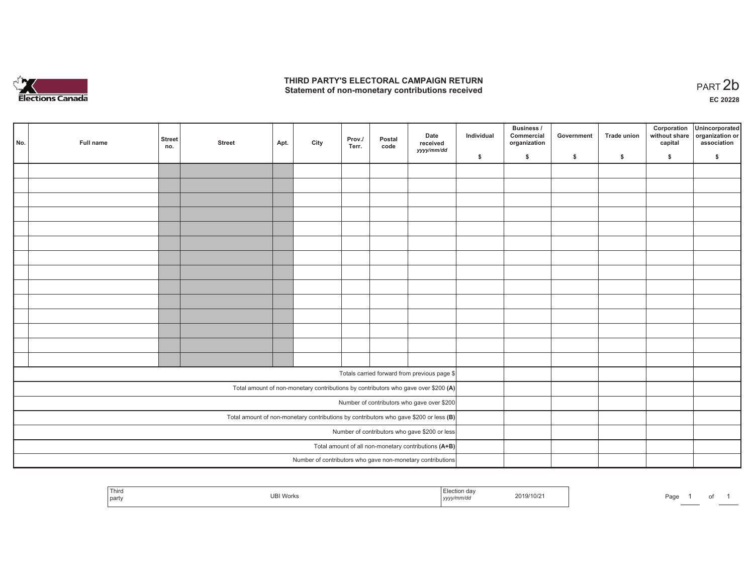

## **THIRD PARTY'S ELECTORAL CAMPAIGN RETURN**  THIRD PARTY'S ELECTORAL CAMPAIGN RETURN<br>Statement of non-monetary contributions received

| No. | Full name | <b>Street</b><br>no. | <b>Street</b> | Apt. | City | Prov./<br>Terr. | Postal<br>code | Date<br>received<br>yyyy/mm/dd                                                          | Individual | <b>Business /</b><br>Commercial<br>organization | Government | Trade union | Corporation<br>capital | Unincorporated<br>without share organization or<br>association |
|-----|-----------|----------------------|---------------|------|------|-----------------|----------------|-----------------------------------------------------------------------------------------|------------|-------------------------------------------------|------------|-------------|------------------------|----------------------------------------------------------------|
|     |           |                      |               |      |      |                 |                |                                                                                         | \$         | \$                                              | \$         | \$          | \$                     | \$                                                             |
|     |           |                      |               |      |      |                 |                |                                                                                         |            |                                                 |            |             |                        |                                                                |
|     |           |                      |               |      |      |                 |                |                                                                                         |            |                                                 |            |             |                        |                                                                |
|     |           |                      |               |      |      |                 |                |                                                                                         |            |                                                 |            |             |                        |                                                                |
|     |           |                      |               |      |      |                 |                |                                                                                         |            |                                                 |            |             |                        |                                                                |
|     |           |                      |               |      |      |                 |                |                                                                                         |            |                                                 |            |             |                        |                                                                |
|     |           |                      |               |      |      |                 |                |                                                                                         |            |                                                 |            |             |                        |                                                                |
|     |           |                      |               |      |      |                 |                |                                                                                         |            |                                                 |            |             |                        |                                                                |
|     |           |                      |               |      |      |                 |                |                                                                                         |            |                                                 |            |             |                        |                                                                |
|     |           |                      |               |      |      |                 |                |                                                                                         |            |                                                 |            |             |                        |                                                                |
|     |           |                      |               |      |      |                 |                |                                                                                         |            |                                                 |            |             |                        |                                                                |
|     |           |                      |               |      |      |                 |                |                                                                                         |            |                                                 |            |             |                        |                                                                |
|     |           |                      |               |      |      |                 |                |                                                                                         |            |                                                 |            |             |                        |                                                                |
|     |           |                      |               |      |      |                 |                |                                                                                         |            |                                                 |            |             |                        |                                                                |
|     |           |                      |               |      |      |                 |                |                                                                                         |            |                                                 |            |             |                        |                                                                |
|     |           |                      |               |      |      |                 |                | Totals carried forward from previous page \$                                            |            |                                                 |            |             |                        |                                                                |
|     |           |                      |               |      |      |                 |                |                                                                                         |            |                                                 |            |             |                        |                                                                |
|     |           |                      |               |      |      |                 |                | Total amount of non-monetary contributions by contributors who gave over \$200 (A)      |            |                                                 |            |             |                        |                                                                |
|     |           |                      |               |      |      |                 |                | Number of contributors who gave over \$200                                              |            |                                                 |            |             |                        |                                                                |
|     |           |                      |               |      |      |                 |                | Total amount of non-monetary contributions by contributors who gave \$200 or less $(B)$ |            |                                                 |            |             |                        |                                                                |
|     |           |                      |               |      |      |                 |                | Number of contributors who gave \$200 or less                                           |            |                                                 |            |             |                        |                                                                |
|     |           |                      |               |      |      |                 |                | Total amount of all non-monetary contributions (A+B)                                    |            |                                                 |            |             |                        |                                                                |
|     |           |                      |               |      |      |                 |                | Number of contributors who gave non-monetary contributions                              |            |                                                 |            |             |                        |                                                                |

| <sup>1</sup> Third<br>' Election dav<br>2019/10/21<br>$\overline{1}$<br>Works<br>UE<br>party<br>/v/mm/dc<br>Iyyy. | n- |
|-------------------------------------------------------------------------------------------------------------------|----|
|-------------------------------------------------------------------------------------------------------------------|----|

age 1 of 1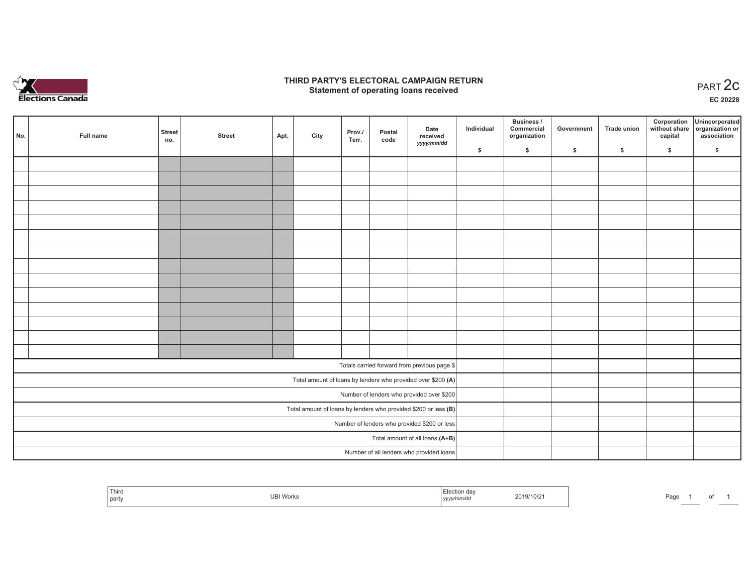

### **THIRD PARTY'S ELECTORAL CAMPAIGN RETURN STATE:** PARTY'S ELECTORAL CAMPAIGN RETURN<br>
Statement of operating loans received

**EC 20228**

| No. | Full name | Street<br>no. | <b>Street</b> | Apt. | City | Prov./<br>Terr. | Postal<br>code | Date<br>received                                                | Individual | Business /<br>Commercial<br>organization | Government | Trade union | capital | Corporation Unincorporated<br>without share organization or<br>association |
|-----|-----------|---------------|---------------|------|------|-----------------|----------------|-----------------------------------------------------------------|------------|------------------------------------------|------------|-------------|---------|----------------------------------------------------------------------------|
|     |           |               |               |      |      |                 |                | yyyy/mm/dd                                                      | \$         | \$                                       | \$         | $\sqrt{2}$  | \$      | \$                                                                         |
|     |           |               |               |      |      |                 |                |                                                                 |            |                                          |            |             |         |                                                                            |
|     |           |               |               |      |      |                 |                |                                                                 |            |                                          |            |             |         |                                                                            |
|     |           |               |               |      |      |                 |                |                                                                 |            |                                          |            |             |         |                                                                            |
|     |           |               |               |      |      |                 |                |                                                                 |            |                                          |            |             |         |                                                                            |
|     |           |               |               |      |      |                 |                |                                                                 |            |                                          |            |             |         |                                                                            |
|     |           |               |               |      |      |                 |                |                                                                 |            |                                          |            |             |         |                                                                            |
|     |           |               |               |      |      |                 |                |                                                                 |            |                                          |            |             |         |                                                                            |
|     |           |               |               |      |      |                 |                |                                                                 |            |                                          |            |             |         |                                                                            |
|     |           |               |               |      |      |                 |                |                                                                 |            |                                          |            |             |         |                                                                            |
|     |           |               |               |      |      |                 |                |                                                                 |            |                                          |            |             |         |                                                                            |
|     |           |               |               |      |      |                 |                |                                                                 |            |                                          |            |             |         |                                                                            |
|     |           |               |               |      |      |                 |                |                                                                 |            |                                          |            |             |         |                                                                            |
|     |           |               |               |      |      |                 |                |                                                                 |            |                                          |            |             |         |                                                                            |
|     |           |               |               |      |      |                 |                |                                                                 |            |                                          |            |             |         |                                                                            |
|     |           |               |               |      |      |                 |                | Totals carried forward from previous page \$                    |            |                                          |            |             |         |                                                                            |
|     |           |               |               |      |      |                 |                | Total amount of loans by lenders who provided over \$200 (A)    |            |                                          |            |             |         |                                                                            |
|     |           |               |               |      |      |                 |                | Number of lenders who provided over \$200                       |            |                                          |            |             |         |                                                                            |
|     |           |               |               |      |      |                 |                | Total amount of loans by lenders who provided \$200 or less (B) |            |                                          |            |             |         |                                                                            |
|     |           |               |               |      |      |                 |                | Number of lenders who provided \$200 or less                    |            |                                          |            |             |         |                                                                            |
|     |           |               |               |      |      |                 |                | Total amount of all loans (A+B)                                 |            |                                          |            |             |         |                                                                            |
|     |           |               |               |      |      |                 |                | Number of all lenders who provided loans                        |            |                                          |            |             |         |                                                                            |
|     |           |               |               |      |      |                 |                |                                                                 |            |                                          |            |             |         |                                                                            |

| Third<br>IRI.<br>Works<br>Page<br>part<br>,,,,, |  |
|-------------------------------------------------|--|
|-------------------------------------------------|--|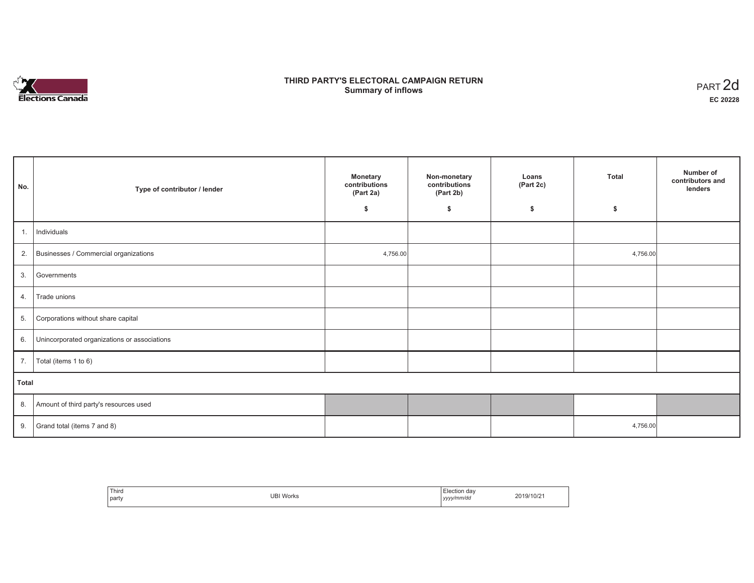

## **THIRD PARTY'S ELECTORAL CAMPAIGN RETURN Summary of inflows** PART 2d

| No.   | Type of contributor / lender                 | <b>Monetary</b><br>contributions<br>(Part 2a) | Non-monetary<br>contributions<br>(Part 2b) | Loans<br>(Part 2c) | <b>Total</b> | Number of<br>contributors and<br>lenders |
|-------|----------------------------------------------|-----------------------------------------------|--------------------------------------------|--------------------|--------------|------------------------------------------|
|       |                                              | \$                                            | \$                                         | \$                 | \$           |                                          |
| 1.    | Individuals                                  |                                               |                                            |                    |              |                                          |
|       | 2. Businesses / Commercial organizations     | 4,756.00                                      |                                            |                    | 4,756.00     |                                          |
| 3.    | Governments                                  |                                               |                                            |                    |              |                                          |
| 4.    | Trade unions                                 |                                               |                                            |                    |              |                                          |
| 5.    | Corporations without share capital           |                                               |                                            |                    |              |                                          |
| 6.    | Unincorporated organizations or associations |                                               |                                            |                    |              |                                          |
| 7.    | Total (items 1 to 6)                         |                                               |                                            |                    |              |                                          |
| Total |                                              |                                               |                                            |                    |              |                                          |
| 8.    | Amount of third party's resources used       |                                               |                                            |                    |              |                                          |
| 9.    | Grand total (items 7 and 8)                  |                                               |                                            |                    | 4,756.00     |                                          |

| Third<br>___<br>party | <b>UBI Works</b> | Election day<br>yyyy/mm/dd | 2019/10/21 |
|-----------------------|------------------|----------------------------|------------|
|-----------------------|------------------|----------------------------|------------|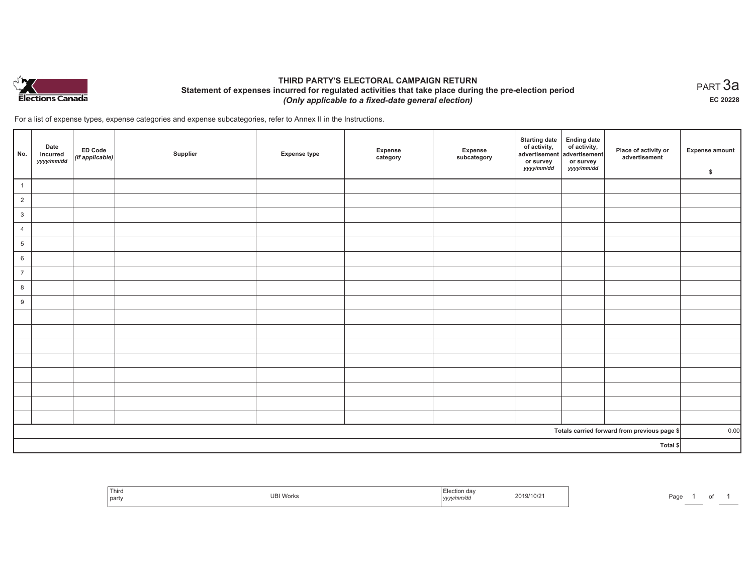

## **THIRD PARTY'S ELECTORAL CAMPAIGN RETURN Statement of expenses incurred for regulated activities that take place during the pre-election period**  *(Only applicable to a fixed-date general election)*

For a list of expense types, expense categories and expense subcategories, refer to Annex II in the Instructions.

| No.            | Date<br>incurred<br>yyyy/mm/dd | <b>ED Code</b><br>$($ if applicable $)$ | Supplier | <b>Expense type</b> | Expense<br>category | Expense<br>subcategory | <b>Starting date</b><br>of activity,<br>advertisement<br>or survey<br>yyyy/mm/dd | <b>Ending date</b><br>of activity,<br>advertisement<br>or survey<br>yyyy/mm/dd | Place of activity or<br>advertisement        | Expense amount<br>\$ |
|----------------|--------------------------------|-----------------------------------------|----------|---------------------|---------------------|------------------------|----------------------------------------------------------------------------------|--------------------------------------------------------------------------------|----------------------------------------------|----------------------|
| $\overline{1}$ |                                |                                         |          |                     |                     |                        |                                                                                  |                                                                                |                                              |                      |
| $\overline{2}$ |                                |                                         |          |                     |                     |                        |                                                                                  |                                                                                |                                              |                      |
| $\mathbf{3}$   |                                |                                         |          |                     |                     |                        |                                                                                  |                                                                                |                                              |                      |
| $\overline{4}$ |                                |                                         |          |                     |                     |                        |                                                                                  |                                                                                |                                              |                      |
| $\sqrt{5}$     |                                |                                         |          |                     |                     |                        |                                                                                  |                                                                                |                                              |                      |
| $6\phantom{.}$ |                                |                                         |          |                     |                     |                        |                                                                                  |                                                                                |                                              |                      |
| $\overline{7}$ |                                |                                         |          |                     |                     |                        |                                                                                  |                                                                                |                                              |                      |
| 8              |                                |                                         |          |                     |                     |                        |                                                                                  |                                                                                |                                              |                      |
| $9\,$          |                                |                                         |          |                     |                     |                        |                                                                                  |                                                                                |                                              |                      |
|                |                                |                                         |          |                     |                     |                        |                                                                                  |                                                                                |                                              |                      |
|                |                                |                                         |          |                     |                     |                        |                                                                                  |                                                                                |                                              |                      |
|                |                                |                                         |          |                     |                     |                        |                                                                                  |                                                                                |                                              |                      |
|                |                                |                                         |          |                     |                     |                        |                                                                                  |                                                                                |                                              |                      |
|                |                                |                                         |          |                     |                     |                        |                                                                                  |                                                                                |                                              |                      |
|                |                                |                                         |          |                     |                     |                        |                                                                                  |                                                                                |                                              |                      |
|                |                                |                                         |          |                     |                     |                        |                                                                                  |                                                                                |                                              |                      |
|                |                                |                                         |          |                     |                     |                        |                                                                                  |                                                                                |                                              |                      |
|                |                                |                                         |          |                     |                     |                        |                                                                                  |                                                                                | Totals carried forward from previous page \$ | 0.00                 |
| Total \$       |                                |                                         |          |                     |                     |                        |                                                                                  |                                                                                |                                              |                      |

| Third<br>I party | JBI VVOľK<br>$\sim$ $\sim$ $\sim$ $\sim$ $\sim$ $\sim$ | ı dav<br>2019/10/21<br>.<br>. ım/ar<br>,,,,,, | Page |
|------------------|--------------------------------------------------------|-----------------------------------------------|------|
|------------------|--------------------------------------------------------|-----------------------------------------------|------|

 $_{\sf PART}$ 3a **EC 20228**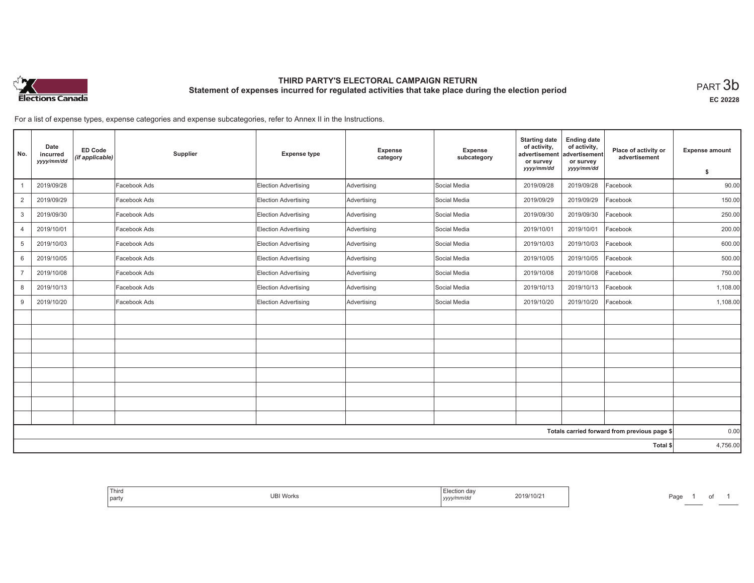

# **THIRD PARTY'S ELECTORAL CAMPAIGN RETURN Statement of expenses incurred for regulated activities that take place during the election period**<br>PART  $3\mathsf{b}$

**EC 20228**

For a list of expense types, expense categories and expense subcategories, refer to Annex II in the Instructions.

| No.                                          | Date<br>incurred<br>yyyy/mm/dd | <b>ED Code</b><br>(if applicable) | Supplier     | <b>Expense type</b>         | Expense<br>category | Expense<br>subcategory | <b>Starting date</b><br>of activity,<br>advertisement<br>or survey<br>yyyy/mm/dd | <b>Ending date</b><br>of activity,<br>advertisement<br>or survey<br>yyyy/mm/dd | Place of activity or<br>advertisement | <b>Expense amount</b><br>\$ |
|----------------------------------------------|--------------------------------|-----------------------------------|--------------|-----------------------------|---------------------|------------------------|----------------------------------------------------------------------------------|--------------------------------------------------------------------------------|---------------------------------------|-----------------------------|
|                                              | 2019/09/28                     |                                   | Facebook Ads | Election Advertising        | Advertising         | Social Media           | 2019/09/28                                                                       | 2019/09/28                                                                     | Facebook                              | 90.00                       |
| $\overline{2}$                               | 2019/09/29                     |                                   | Facebook Ads | Election Advertising        | Advertising         | Social Media           | 2019/09/29                                                                       | 2019/09/29                                                                     | Facebook                              | 150.00                      |
|                                              | 2019/09/30                     |                                   | Facebook Ads |                             |                     | Social Media           |                                                                                  |                                                                                |                                       |                             |
| 3                                            |                                |                                   |              | Election Advertising        | Advertising         |                        | 2019/09/30                                                                       | 2019/09/30                                                                     | Facebook                              | 250.00                      |
| $\overline{4}$                               | 2019/10/01                     |                                   | Facebook Ads | <b>Election Advertising</b> | Advertising         | Social Media           | 2019/10/01                                                                       | 2019/10/01                                                                     | Facebook                              | 200.00                      |
| 5                                            | 2019/10/03                     |                                   | Facebook Ads | Election Advertising        | Advertising         | Social Media           | 2019/10/03                                                                       | 2019/10/03                                                                     | Facebook                              | 600.00                      |
| 6                                            | 2019/10/05                     |                                   | Facebook Ads | Election Advertising        | Advertising         | Social Media           | 2019/10/05                                                                       | 2019/10/05                                                                     | Facebook                              | 500.00                      |
| $\overline{7}$                               | 2019/10/08                     |                                   | Facebook Ads | <b>Election Advertising</b> | Advertising         | Social Media           | 2019/10/08                                                                       | 2019/10/08                                                                     | Facebook                              | 750.00                      |
| 8                                            | 2019/10/13                     |                                   | Facebook Ads | <b>Election Advertising</b> | Advertising         | Social Media           | 2019/10/13                                                                       | 2019/10/13                                                                     | Facebook                              | 1,108.00                    |
| 9                                            | 2019/10/20                     |                                   | Facebook Ads | Election Advertising        | Advertising         | Social Media           | 2019/10/20                                                                       | 2019/10/20                                                                     | Facebook                              | 1,108.00                    |
|                                              |                                |                                   |              |                             |                     |                        |                                                                                  |                                                                                |                                       |                             |
|                                              |                                |                                   |              |                             |                     |                        |                                                                                  |                                                                                |                                       |                             |
|                                              |                                |                                   |              |                             |                     |                        |                                                                                  |                                                                                |                                       |                             |
|                                              |                                |                                   |              |                             |                     |                        |                                                                                  |                                                                                |                                       |                             |
|                                              |                                |                                   |              |                             |                     |                        |                                                                                  |                                                                                |                                       |                             |
|                                              |                                |                                   |              |                             |                     |                        |                                                                                  |                                                                                |                                       |                             |
|                                              |                                |                                   |              |                             |                     |                        |                                                                                  |                                                                                |                                       |                             |
|                                              |                                |                                   |              |                             |                     |                        |                                                                                  |                                                                                |                                       |                             |
| Totals carried forward from previous page \$ |                                |                                   |              |                             |                     |                        | 0.00                                                                             |                                                                                |                                       |                             |
| Total \$                                     |                                |                                   |              |                             |                     |                        | 4,756.00                                                                         |                                                                                |                                       |                             |

| party<br>yyyy/mm/dd |
|---------------------|
|---------------------|

Page 1 of